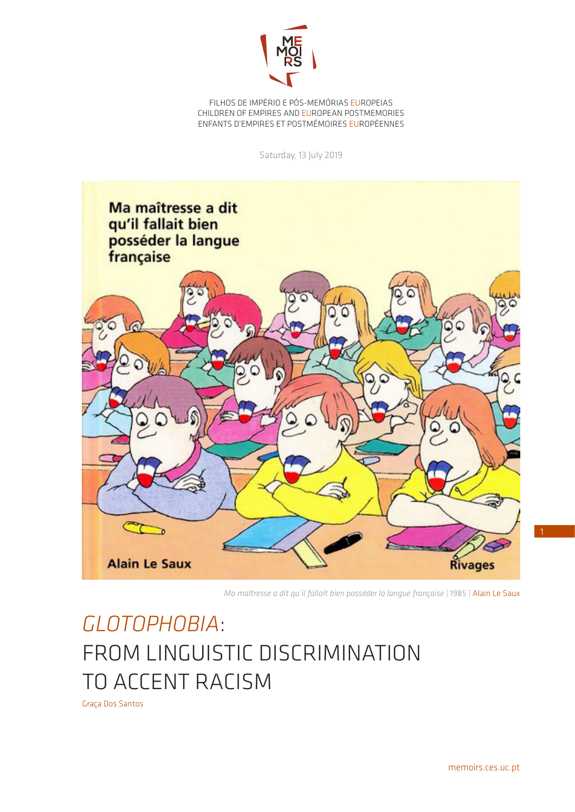

FILHOS DE IMPÉRIO E PÓS-MEMÓRIAS EUROPEIAS CHILDREN OF EMPIRES AND EUROPEAN POSTMEMORIES ENFANTS D'EMPIRES ET POSTMÉMOIRES EUROPÉENNES

Saturday, 13 July 2019



*Ma maîtresse a dit qu'il fallait bien posséder la langue française* | 1985 | Alain Le Saux

## *GLOTOPHOBIA*: FROM LINGUISTIC DISCRIMINATION TO ACCENT RACISM

Graça Dos Santos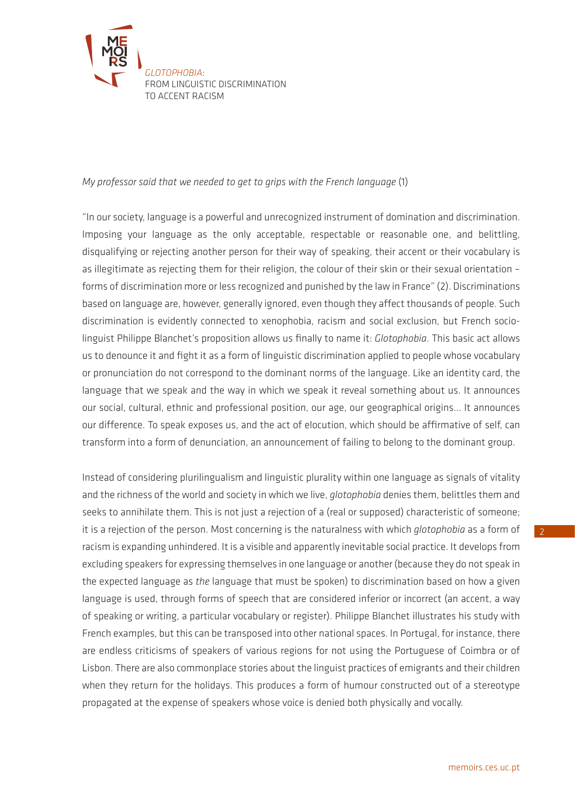

## *My professor said that we needed to get to grips with the French language* (1)

"In our society, language is a powerful and unrecognized instrument of domination and discrimination. Imposing your language as the only acceptable, respectable or reasonable one, and belittling, disqualifying or rejecting another person for their way of speaking, their accent or their vocabulary is as illegitimate as rejecting them for their religion, the colour of their skin or their sexual orientation – forms of discrimination more or less recognized and punished by the law in France" (2). Discriminations based on language are, however, generally ignored, even though they affect thousands of people. Such discrimination is evidently connected to xenophobia, racism and social exclusion, but French sociolinguist Philippe Blanchet's proposition allows us finally to name it: *Glotophobia*. This basic act allows us to denounce it and fight it as a form of linguistic discrimination applied to people whose vocabulary or pronunciation do not correspond to the dominant norms of the language. Like an identity card, the language that we speak and the way in which we speak it reveal something about us. It announces our social, cultural, ethnic and professional position, our age, our geographical origins... It announces our difference. To speak exposes us, and the act of elocution, which should be affirmative of self, can transform into a form of denunciation, an announcement of failing to belong to the dominant group.

Instead of considering plurilingualism and linguistic plurality within one language as signals of vitality and the richness of the world and society in which we live, *glotophobia* denies them, belittles them and seeks to annihilate them. This is not just a rejection of a (real or supposed) characteristic of someone; it is a rejection of the person. Most concerning is the naturalness with which *glotophobia* as a form of racism is expanding unhindered. It is a visible and apparently inevitable social practice. It develops from excluding speakers for expressing themselves in one language or another (because they do not speak in the expected language as *the* language that must be spoken) to discrimination based on how a given language is used, through forms of speech that are considered inferior or incorrect (an accent, a way of speaking or writing, a particular vocabulary or register). Philippe Blanchet illustrates his study with French examples, but this can be transposed into other national spaces. In Portugal, for instance, there are endless criticisms of speakers of various regions for not using the Portuguese of Coimbra or of Lisbon. There are also commonplace stories about the linguist practices of emigrants and their children when they return for the holidays. This produces a form of humour constructed out of a stereotype propagated at the expense of speakers whose voice is denied both physically and vocally.